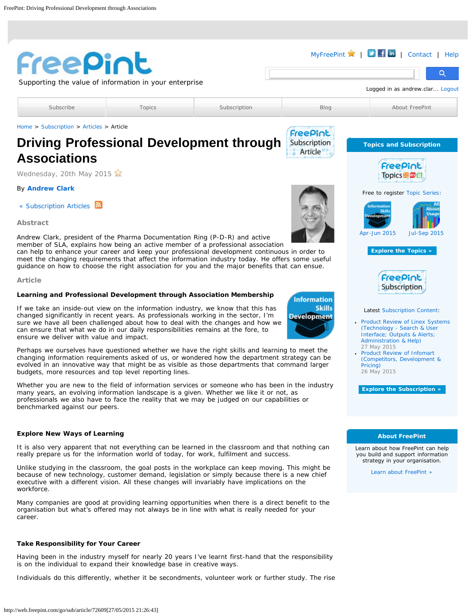<span id="page-0-0"></span>

| Freepint                                                                                                                                                                                                                                                                                                                                                                                                                        |                                                                                                                                                                                              |                                                                                                                                                                                                                                                                                                                                                                                         |                    | MyFreePint $\blacktriangleright$   $\blacktriangleright$   $\blacktriangle$   $\blacksquare$<br>Contact<br>Help<br>Q                                       |
|---------------------------------------------------------------------------------------------------------------------------------------------------------------------------------------------------------------------------------------------------------------------------------------------------------------------------------------------------------------------------------------------------------------------------------|----------------------------------------------------------------------------------------------------------------------------------------------------------------------------------------------|-----------------------------------------------------------------------------------------------------------------------------------------------------------------------------------------------------------------------------------------------------------------------------------------------------------------------------------------------------------------------------------------|--------------------|------------------------------------------------------------------------------------------------------------------------------------------------------------|
|                                                                                                                                                                                                                                                                                                                                                                                                                                 | Supporting the value of information in your enterprise                                                                                                                                       |                                                                                                                                                                                                                                                                                                                                                                                         |                    | Logged in as andrew.clar Logout                                                                                                                            |
|                                                                                                                                                                                                                                                                                                                                                                                                                                 |                                                                                                                                                                                              |                                                                                                                                                                                                                                                                                                                                                                                         |                    |                                                                                                                                                            |
| Subscribe                                                                                                                                                                                                                                                                                                                                                                                                                       | <b>Topics</b>                                                                                                                                                                                | Subscription                                                                                                                                                                                                                                                                                                                                                                            | Blog               | About FreePint                                                                                                                                             |
| Home > Subscription > Articles > Article                                                                                                                                                                                                                                                                                                                                                                                        |                                                                                                                                                                                              |                                                                                                                                                                                                                                                                                                                                                                                         | FreePint           |                                                                                                                                                            |
|                                                                                                                                                                                                                                                                                                                                                                                                                                 |                                                                                                                                                                                              | <b>Driving Professional Development through</b>                                                                                                                                                                                                                                                                                                                                         | Subscription       | <b>Topics and Subscription</b>                                                                                                                             |
| <b>Associations</b>                                                                                                                                                                                                                                                                                                                                                                                                             |                                                                                                                                                                                              |                                                                                                                                                                                                                                                                                                                                                                                         | Article            | Freepint                                                                                                                                                   |
| Wednesday, 20th May 2015                                                                                                                                                                                                                                                                                                                                                                                                        |                                                                                                                                                                                              |                                                                                                                                                                                                                                                                                                                                                                                         |                    | Topics <b>⊞</b>                                                                                                                                            |
| <b>By Andrew Clark</b>                                                                                                                                                                                                                                                                                                                                                                                                          |                                                                                                                                                                                              |                                                                                                                                                                                                                                                                                                                                                                                         |                    | Free to register Topic Series:                                                                                                                             |
| « Subscription Articles                                                                                                                                                                                                                                                                                                                                                                                                         |                                                                                                                                                                                              |                                                                                                                                                                                                                                                                                                                                                                                         |                    | <b>Information</b><br><b>About</b>                                                                                                                         |
| Abstract                                                                                                                                                                                                                                                                                                                                                                                                                        |                                                                                                                                                                                              |                                                                                                                                                                                                                                                                                                                                                                                         |                    | <b>Skills</b><br>Developmen                                                                                                                                |
| Andrew Clark, president of the Pharma Documentation Ring (P-D-R) and active                                                                                                                                                                                                                                                                                                                                                     |                                                                                                                                                                                              | member of SLA, explains how being an active member of a professional association<br>can help to enhance your career and keep your professional development continuous in order to<br>meet the changing requirements that affect the information industry today. He offers some useful<br>quidance on how to choose the right association for you and the major benefits that can ensue. |                    | Apr-Jun 2015<br><b>Jul-Sep 2015</b><br><b>Explore the Topics »</b>                                                                                         |
| Article                                                                                                                                                                                                                                                                                                                                                                                                                         |                                                                                                                                                                                              |                                                                                                                                                                                                                                                                                                                                                                                         |                    | FreePint                                                                                                                                                   |
|                                                                                                                                                                                                                                                                                                                                                                                                                                 |                                                                                                                                                                                              | Learning and Professional Development through Association Membership                                                                                                                                                                                                                                                                                                                    | <b>Information</b> | Subscription                                                                                                                                               |
| <b>Skills</b><br>If we take an inside-out view on the information industry, we know that this has<br>changed significantly in recent years. As professionals working in the sector, I'm<br><b>Development</b><br>sure we have all been challenged about how to deal with the changes and how we<br>can ensure that what we do in our daily responsibilities remains at the fore, to<br>ensure we deliver with value and impact. |                                                                                                                                                                                              |                                                                                                                                                                                                                                                                                                                                                                                         |                    | Latest Subscription Content:<br>• Product Review of Linex Systems<br>(Technology - Search & User<br>Interface; Outputs & Alerts;<br>Administration & Help) |
| Perhaps we ourselves have questioned whether we have the right skills and learning to meet the<br>changing information requirements asked of us, or wondered how the department strategy can be<br>evolved in an innovative way that might be as visible as those departments that command larger<br>budgets, more resources and top level reporting lines.                                                                     |                                                                                                                                                                                              |                                                                                                                                                                                                                                                                                                                                                                                         |                    | 27 May 2015<br>• Product Review of Infomart<br>(Competitors, Development &<br>Pricing)<br>26 May 2015                                                      |
| benchmarked against our peers.                                                                                                                                                                                                                                                                                                                                                                                                  |                                                                                                                                                                                              | Whether you are new to the field of information services or someone who has been in the industry<br>many years, an evolving information landscape is a given. Whether we like it or not, as<br>professionals we also have to face the reality that we may be judged on our capabilities or                                                                                              |                    | <b>Explore the Subscription »</b>                                                                                                                          |
| <b>Explore New Ways of Learning</b>                                                                                                                                                                                                                                                                                                                                                                                             |                                                                                                                                                                                              |                                                                                                                                                                                                                                                                                                                                                                                         |                    | <b>About FreePint</b>                                                                                                                                      |
|                                                                                                                                                                                                                                                                                                                                                                                                                                 | It is also very apparent that not everything can be learned in the classroom and that nothing can<br>really prepare us for the information world of today, for work, fulfilment and success. |                                                                                                                                                                                                                                                                                                                                                                                         |                    | Learn about how FreePint can help<br>you build and support information<br>strategy in your organisation.                                                   |
| Unlike studying in the classroom, the goal posts in the workplace can keep moving. This might be<br>because of new technology, customer demand, legislation or simply because there is a new chief<br>executive with a different vision. All these changes will invariably have implications on the<br>workforce.                                                                                                               |                                                                                                                                                                                              |                                                                                                                                                                                                                                                                                                                                                                                         |                    | Learn about FreePint »                                                                                                                                     |
| career.                                                                                                                                                                                                                                                                                                                                                                                                                         |                                                                                                                                                                                              | Many companies are good at providing learning opportunities when there is a direct benefit to the<br>organisation but what's offered may not always be in line with what is really needed for your                                                                                                                                                                                      |                    |                                                                                                                                                            |
| <b>Take Responsibility for Your Career</b>                                                                                                                                                                                                                                                                                                                                                                                      |                                                                                                                                                                                              |                                                                                                                                                                                                                                                                                                                                                                                         |                    |                                                                                                                                                            |
| is on the individual to expand their knowledge base in creative ways.                                                                                                                                                                                                                                                                                                                                                           |                                                                                                                                                                                              | Having been in the industry myself for nearly 20 years I've learnt first-hand that the responsibility                                                                                                                                                                                                                                                                                   |                    |                                                                                                                                                            |
|                                                                                                                                                                                                                                                                                                                                                                                                                                 |                                                                                                                                                                                              | Individuals do this differently, whether it be secondments, volunteer work or further study. The rise                                                                                                                                                                                                                                                                                   |                    |                                                                                                                                                            |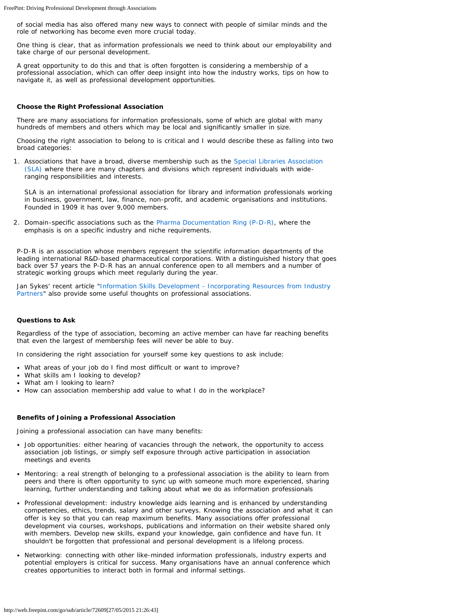FreePint: Driving Professional Development through Associations

of social media has also offered many new ways to connect with people of similar minds and the role of networking has become even more crucial today.

One thing is clear, that as information professionals we need to think about our employability and take charge of our personal development.

A great opportunity to do this and that is often forgotten is considering a membership of a professional association, which can offer deep insight into how the industry works, tips on how to navigate it, as well as professional development opportunities.

## **Choose the Right Professional Association**

There are many associations for information professionals, some of which are global with many hundreds of members and others which may be local and significantly smaller in size.

Choosing the right association to belong to is critical and I would describe these as falling into two broad categories:

1. Associations that have a broad, diverse membership such as the [Special Libraries Association](https://www.sla.org/) [\(SLA\)](https://www.sla.org/) where there are many chapters and divisions which represent individuals with wideranging responsibilities and interests.

SLA is an international professional association for library and information professionals working in business, government, law, finance, non-profit, and academic organisations and institutions. Founded in 1909 it has over 9,000 members.

2. Domain-specific associations such as the [Pharma Documentation Ring \(P-D-R\)](http://www.p-d-r.com/), where the emphasis is on a specific industry and niche requirements.

P-D-R is an association whose members represent the scientific information departments of the leading international R&D-based pharmaceutical corporations. With a distinguished history that goes back over 57 years the P-D-R has an annual conference open to all members and a number of strategic working groups which meet regularly during the year.

Jan Sykes' recent article "[Information Skills Development - Incorporating Resources from Industry](http://web.freepint.com/go/sub/article/72581) [Partners"](http://web.freepint.com/go/sub/article/72581) also provide some useful thoughts on professional associations.

## **Questions to Ask**

Regardless of the type of association, becoming an active member can have far reaching benefits that even the largest of membership fees will never be able to buy.

In considering the right association for yourself some key questions to ask include:

- What areas of your job do I find most difficult or want to improve?
- What skills am I looking to develop?
- What am I looking to learn?
- How can association membership add value to what I do in the workplace?

## **Benefits of Joining a Professional Association**

Joining a professional association can have many benefits:

- *Job opportunities*: either hearing of vacancies through the network, the opportunity to access association job listings, or simply self exposure through active participation in association meetings and events
- *Mentoring*: a real strength of belonging to a professional association is the ability to learn from peers and there is often opportunity to sync up with someone much more experienced, sharing learning, further understanding and talking about what we do as information professionals
- *Professional development*: industry knowledge aids learning and is enhanced by understanding competencies, ethics, trends, salary and other surveys. Knowing the association and what it can offer is key so that you can reap maximum benefits. Many associations offer professional development via courses, workshops, publications and information on their website shared only with members. Develop new skills, expand your knowledge, gain confidence and have fun. It shouldn't be forgotten that professional and personal development is a lifelong process.
- *Networking:* connecting with other like-minded information professionals, industry experts and potential employers is critical for success. Many organisations have an annual conference which creates opportunities to interact both in formal and informal settings.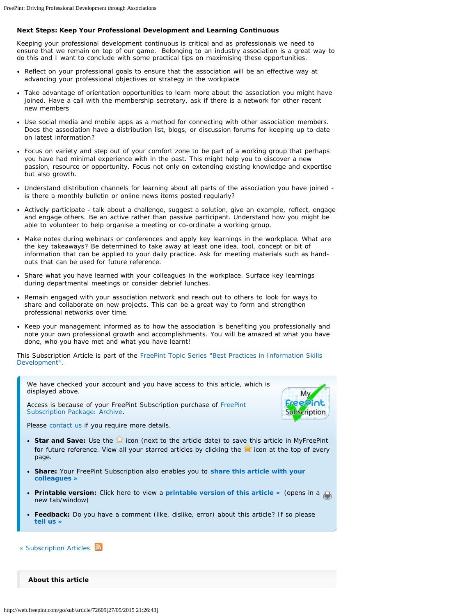## **Next Steps: Keep Your Professional Development and Learning Continuous**

Keeping your professional development continuous is critical and as professionals we need to ensure that we remain on top of our game. Belonging to an industry association is a great way to do this and I want to conclude with some practical tips on maximising these opportunities.

- Reflect on your professional goals to ensure that the association will be an effective way at advancing your professional objectives or strategy in the workplace
- Take advantage of orientation opportunities to learn more about the association you might have joined. Have a call with the membership secretary, ask if there is a network for other recent new members
- Use social media and mobile apps as a method for connecting with other association members. Does the association have a distribution list, blogs, or discussion forums for keeping up to date on latest information?
- Focus on variety and step out of your comfort zone to be part of a working group that perhaps you have had minimal experience with in the past. This might help you to discover a new passion, resource or opportunity. Focus not only on extending existing knowledge and expertise but also growth.
- Understand distribution channels for learning about all parts of the association you have joined is there a monthly bulletin or online news items posted regularly?
- Actively participate talk about a challenge, suggest a solution, give an example, reflect, engage and engage others. Be an active rather than passive participant. Understand how you might be able to volunteer to help organise a meeting or co-ordinate a working group.
- Make notes during webinars or conferences and apply key learnings in the workplace. What are the key takeaways? Be determined to take away at least one idea, tool, concept or bit of information that can be applied to your daily practice. Ask for meeting materials such as handouts that can be used for future reference.
- Share what you have learned with your colleagues in the workplace. Surface key learnings during departmental meetings or consider debrief lunches.
- Remain engaged with your association network and reach out to others to look for ways to share and collaborate on new projects. This can be a great way to form and strengthen professional networks over time.
- Keep your management informed as to how the association is benefiting you professionally and note your own professional growth and accomplishments. You will be amazed at what you have done, who you have met and what you have learnt!

*This Subscription Article is part of the [FreePint Topic Series "Best Practices in Information Skills](http://web.freepint.com/go/topic/series/skills_development/) [Development".](http://web.freepint.com/go/topic/series/skills_development/)*

We have checked your account and you have access to this article, which is displayed above.

Access is because of your [FreePint](http://web.freepint.com/go/my/sub/package/2012) Subscription purchase of FreePint [Subscription Package: Archive.](http://web.freepint.com/go/my/sub/package/2012)



Please [contact us](http://www.freepint.com/contact.htm) if you require more details.

- **Star and Save:** Use the **in** icon (next to the article date) to save this article in MyFreePint for future reference. View all your starred articles by clicking the  $\blacktriangleright$  icon at the top of every page.
- **Share:** Your FreePint Subscription also enables you to **[share this article with your](http://web.freepint.com/pub/redistribute_article.php?article_number=72609) [colleagues](http://web.freepint.com/pub/redistribute_article.php?article_number=72609) »**
- **Printable version:** Click here to view a **[printable version of this article](http://web.freepint.com/go/sub/article/print/72609) »** (opens in a new tab/window)
- **Feedback:** Do you have a comment (like, dislike, error) about this article? If so please **[tell](http://web.freepint.com/go/about/contact/) us »**
- « [Subscription Articles](http://web.freepint.com/go/sub/article/)

**About this article**